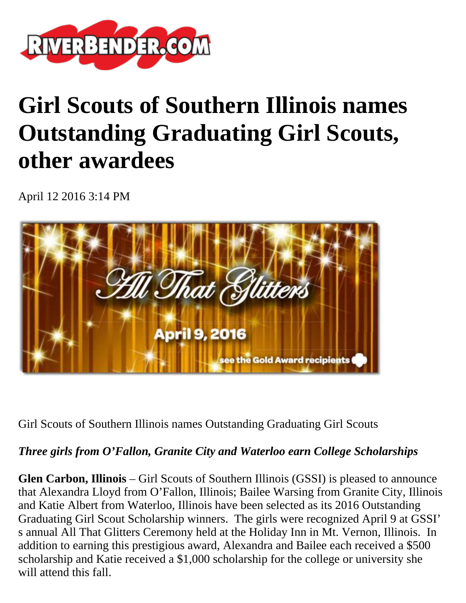

## **Girl Scouts of Southern Illinois names Outstanding Graduating Girl Scouts, other awardees**

April 12 2016 3:14 PM



Girl Scouts of Southern Illinois names Outstanding Graduating Girl Scouts

## *Three girls from O'Fallon, Granite City and Waterloo earn College Scholarships*

**Glen Carbon, Illinois** – Girl Scouts of Southern Illinois (GSSI) is pleased to announce that Alexandra Lloyd from O'Fallon, Illinois; Bailee Warsing from Granite City, Illinois and Katie Albert from Waterloo, Illinois have been selected as its 2016 Outstanding Graduating Girl Scout Scholarship winners. The girls were recognized April 9 at GSSI' s annual All That Glitters Ceremony held at the Holiday Inn in Mt. Vernon, Illinois. In addition to earning this prestigious award, Alexandra and Bailee each received a \$500 scholarship and Katie received a \$1,000 scholarship for the college or university she will attend this fall.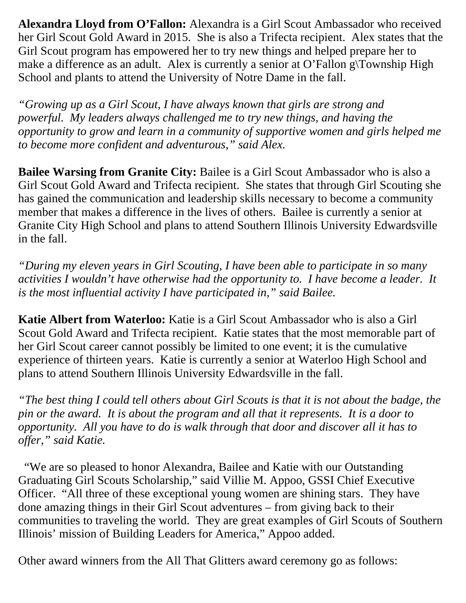**Alexandra Lloyd from O'Fallon:** Alexandra is a Girl Scout Ambassador who received her Girl Scout Gold Award in 2015. She is also a Trifecta recipient. Alex states that the Girl Scout program has empowered her to try new things and helped prepare her to make a difference as an adult. Alex is currently a senior at O'Fallon g\Township High School and plants to attend the University of Notre Dame in the fall.

*"Growing up as a Girl Scout, I have always known that girls are strong and powerful. My leaders always challenged me to try new things, and having the opportunity to grow and learn in a community of supportive women and girls helped me to become more confident and adventurous," said Alex.*

**Bailee Warsing from Granite City:** Bailee is a Girl Scout Ambassador who is also a Girl Scout Gold Award and Trifecta recipient. She states that through Girl Scouting she has gained the communication and leadership skills necessary to become a community member that makes a difference in the lives of others. Bailee is currently a senior at Granite City High School and plans to attend Southern Illinois University Edwardsville in the fall.

*"During my eleven years in Girl Scouting, I have been able to participate in so many activities I wouldn't have otherwise had the opportunity to. I have become a leader. It is the most influential activity I have participated in," said Bailee.* 

**Katie Albert from Waterloo:** Katie is a Girl Scout Ambassador who is also a Girl Scout Gold Award and Trifecta recipient. Katie states that the most memorable part of her Girl Scout career cannot possibly be limited to one event; it is the cumulative experience of thirteen years. Katie is currently a senior at Waterloo High School and plans to attend Southern Illinois University Edwardsville in the fall.

*"The best thing I could tell others about Girl Scouts is that it is not about the badge, the pin or the award. It is about the program and all that it represents. It is a door to opportunity. All you have to do is walk through that door and discover all it has to offer," said Katie.*

 "We are so pleased to honor Alexandra, Bailee and Katie with our Outstanding Graduating Girl Scouts Scholarship," said Villie M. Appoo, GSSI Chief Executive Officer. "All three of these exceptional young women are shining stars. They have done amazing things in their Girl Scout adventures – from giving back to their communities to traveling the world. They are great examples of Girl Scouts of Southern Illinois' mission of Building Leaders for America," Appoo added.

Other award winners from the All That Glitters award ceremony go as follows: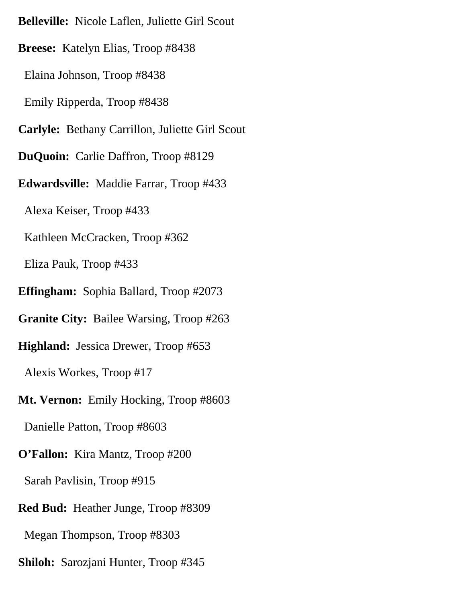**Belleville:** Nicole Laflen, Juliette Girl Scout **Breese:** Katelyn Elias, Troop #8438 Elaina Johnson, Troop #8438 Emily Ripperda, Troop #8438 **Carlyle:** Bethany Carrillon, Juliette Girl Scout **DuQuoin:** Carlie Daffron, Troop #8129 **Edwardsville:** Maddie Farrar, Troop #433 Alexa Keiser, Troop #433 Kathleen McCracken, Troop #362 Eliza Pauk, Troop #433 **Effingham:** Sophia Ballard, Troop #2073 **Granite City:** Bailee Warsing, Troop #263 **Highland:** Jessica Drewer, Troop #653 Alexis Workes, Troop #17 **Mt. Vernon:** Emily Hocking, Troop #8603 Danielle Patton, Troop #8603 **O'Fallon:** Kira Mantz, Troop #200 Sarah Pavlisin, Troop #915 **Red Bud:** Heather Junge, Troop #8309 Megan Thompson, Troop #8303 **Shiloh:** Sarozjani Hunter, Troop #345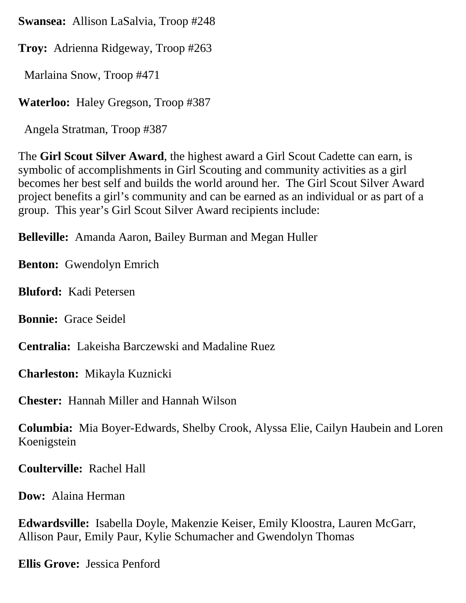**Swansea:** Allison LaSalvia, Troop #248

**Troy:** Adrienna Ridgeway, Troop #263

Marlaina Snow, Troop #471

**Waterloo:** Haley Gregson, Troop #387

Angela Stratman, Troop #387

The **Girl Scout Silver Award**, the highest award a Girl Scout Cadette can earn, is symbolic of accomplishments in Girl Scouting and community activities as a girl becomes her best self and builds the world around her. The Girl Scout Silver Award project benefits a girl's community and can be earned as an individual or as part of a group. This year's Girl Scout Silver Award recipients include:

**Belleville:** Amanda Aaron, Bailey Burman and Megan Huller

**Benton:** Gwendolyn Emrich

**Bluford:** Kadi Petersen

**Bonnie:** Grace Seidel

**Centralia:** Lakeisha Barczewski and Madaline Ruez

**Charleston:** Mikayla Kuznicki

**Chester:** Hannah Miller and Hannah Wilson

**Columbia:** Mia Boyer-Edwards, Shelby Crook, Alyssa Elie, Cailyn Haubein and Loren Koenigstein

**Coulterville:** Rachel Hall

**Dow:** Alaina Herman

**Edwardsville:** Isabella Doyle, Makenzie Keiser, Emily Kloostra, Lauren McGarr, Allison Paur, Emily Paur, Kylie Schumacher and Gwendolyn Thomas

**Ellis Grove:** Jessica Penford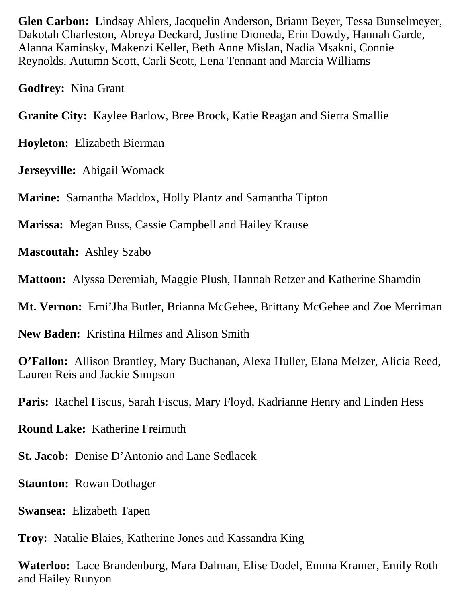**Glen Carbon:** Lindsay Ahlers, Jacquelin Anderson, Briann Beyer, Tessa Bunselmeyer, Dakotah Charleston, Abreya Deckard, Justine Dioneda, Erin Dowdy, Hannah Garde, Alanna Kaminsky, Makenzi Keller, Beth Anne Mislan, Nadia Msakni, Connie Reynolds, Autumn Scott, Carli Scott, Lena Tennant and Marcia Williams

**Godfrey:** Nina Grant

**Granite City:** Kaylee Barlow, Bree Brock, Katie Reagan and Sierra Smallie

**Hoyleton:** Elizabeth Bierman

**Jerseyville:** Abigail Womack

**Marine:** Samantha Maddox, Holly Plantz and Samantha Tipton

**Marissa:** Megan Buss, Cassie Campbell and Hailey Krause

**Mascoutah:** Ashley Szabo

**Mattoon:** Alyssa Deremiah, Maggie Plush, Hannah Retzer and Katherine Shamdin

**Mt. Vernon:** Emi'Jha Butler, Brianna McGehee, Brittany McGehee and Zoe Merriman

**New Baden:** Kristina Hilmes and Alison Smith

**O'Fallon:** Allison Brantley, Mary Buchanan, Alexa Huller, Elana Melzer, Alicia Reed, Lauren Reis and Jackie Simpson

**Paris:** Rachel Fiscus, Sarah Fiscus, Mary Floyd, Kadrianne Henry and Linden Hess

**Round Lake:** Katherine Freimuth

**St. Jacob:** Denise D'Antonio and Lane Sedlacek

**Staunton:** Rowan Dothager

**Swansea:** Elizabeth Tapen

**Troy:** Natalie Blaies, Katherine Jones and Kassandra King

**Waterloo:** Lace Brandenburg, Mara Dalman, Elise Dodel, Emma Kramer, Emily Roth and Hailey Runyon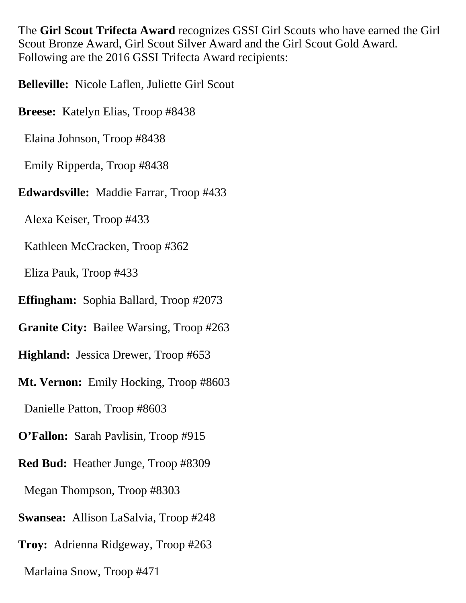The **Girl Scout Trifecta Award** recognizes GSSI Girl Scouts who have earned the Girl Scout Bronze Award, Girl Scout Silver Award and the Girl Scout Gold Award. Following are the 2016 GSSI Trifecta Award recipients:

**Belleville:** Nicole Laflen, Juliette Girl Scout

**Breese:** Katelyn Elias, Troop #8438

Elaina Johnson, Troop #8438

Emily Ripperda, Troop #8438

## **Edwardsville:** Maddie Farrar, Troop #433

Alexa Keiser, Troop #433

Kathleen McCracken, Troop #362

Eliza Pauk, Troop #433

**Effingham:** Sophia Ballard, Troop #2073

**Granite City:** Bailee Warsing, Troop #263

**Highland:** Jessica Drewer, Troop #653

**Mt. Vernon:** Emily Hocking, Troop #8603

Danielle Patton, Troop #8603

**O'Fallon:** Sarah Pavlisin, Troop #915

**Red Bud:** Heather Junge, Troop #8309

Megan Thompson, Troop #8303

**Swansea:** Allison LaSalvia, Troop #248

**Troy:** Adrienna Ridgeway, Troop #263

Marlaina Snow, Troop #471